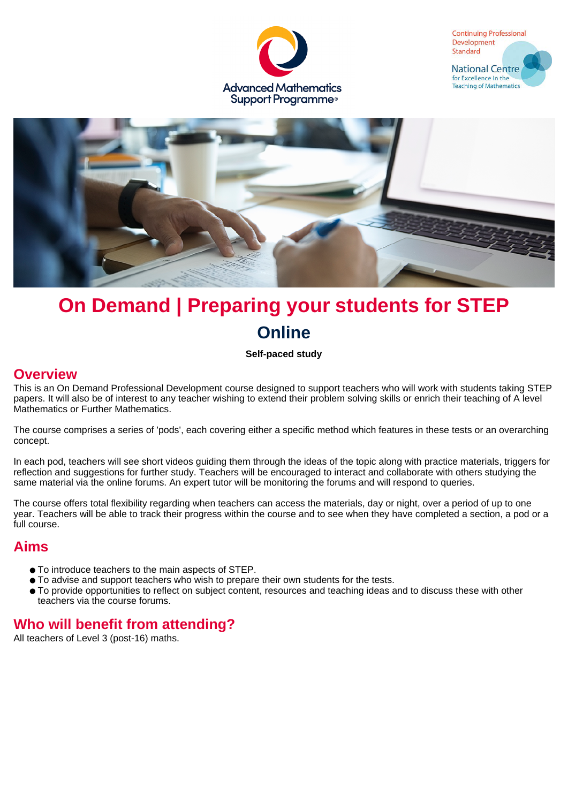





# **On Demand | Preparing your students for STEP Online**

#### **Self-paced study**

#### **Overview**

This is an On Demand Professional Development course designed to support teachers who will work with students taking STEP papers. It will also be of interest to any teacher wishing to extend their problem solving skills or enrich their teaching of A level Mathematics or Further Mathematics.

The course comprises a series of 'pods', each covering either a specific method which features in these tests or an overarching concept.

In each pod, teachers will see short videos guiding them through the ideas of the topic along with practice materials, triggers for reflection and suggestions for further study. Teachers will be encouraged to interact and collaborate with others studying the same material via the online forums. An expert tutor will be monitoring the forums and will respond to queries.

The course offers total flexibility regarding when teachers can access the materials, day or night, over a period of up to one year. Teachers will be able to track their progress within the course and to see when they have completed a section, a pod or a full course.

# **Aims**

- To introduce teachers to the main aspects of STEP.
- To advise and support teachers who wish to prepare their own students for the tests.
- To provide opportunities to reflect on subject content, resources and teaching ideas and to discuss these with other teachers via the course forums.

# **Who will benefit from attending?**

All teachers of Level 3 (post-16) maths.